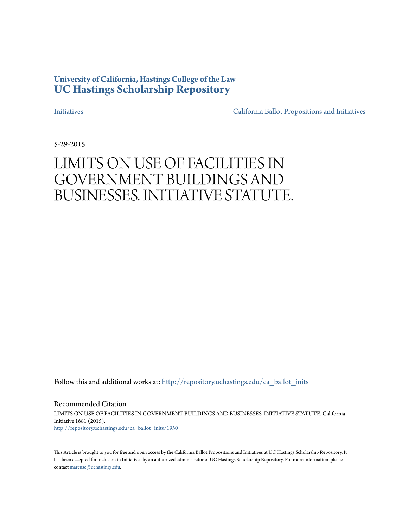## **University of California, Hastings College of the Law [UC Hastings Scholarship Repository](http://repository.uchastings.edu?utm_source=repository.uchastings.edu%2Fca_ballot_inits%2F1950&utm_medium=PDF&utm_campaign=PDFCoverPages)**

[Initiatives](http://repository.uchastings.edu/ca_ballot_inits?utm_source=repository.uchastings.edu%2Fca_ballot_inits%2F1950&utm_medium=PDF&utm_campaign=PDFCoverPages) [California Ballot Propositions and Initiatives](http://repository.uchastings.edu/ca_ballots?utm_source=repository.uchastings.edu%2Fca_ballot_inits%2F1950&utm_medium=PDF&utm_campaign=PDFCoverPages)

5-29-2015

# LIMITS ON USE OF FACILITIES IN GOVERNMENT BUILDINGS AND BUSINESSES. INITIATIVE STATUTE.

Follow this and additional works at: [http://repository.uchastings.edu/ca\\_ballot\\_inits](http://repository.uchastings.edu/ca_ballot_inits?utm_source=repository.uchastings.edu%2Fca_ballot_inits%2F1950&utm_medium=PDF&utm_campaign=PDFCoverPages)

Recommended Citation LIMITS ON USE OF FACILITIES IN GOVERNMENT BUILDINGS AND BUSINESSES. INITIATIVE STATUTE. California Initiative 1681 (2015). [http://repository.uchastings.edu/ca\\_ballot\\_inits/1950](http://repository.uchastings.edu/ca_ballot_inits/1950?utm_source=repository.uchastings.edu%2Fca_ballot_inits%2F1950&utm_medium=PDF&utm_campaign=PDFCoverPages)

This Article is brought to you for free and open access by the California Ballot Propositions and Initiatives at UC Hastings Scholarship Repository. It has been accepted for inclusion in Initiatives by an authorized administrator of UC Hastings Scholarship Repository. For more information, please contact [marcusc@uchastings.edu](mailto:marcusc@uchastings.edu).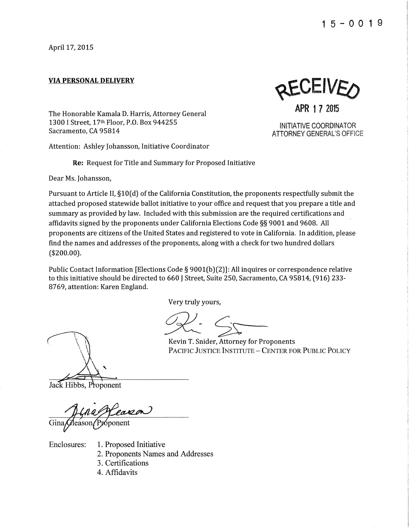April 17, 2015

#### **VIA PERSONAL DELIVERY**

REAFIAED

**APR 17 2015** 

INITIATIVE COORDINATOR ATTORNEY GENERAL'S OFFICE

The Honorable Kamala D. Harris, Attorney General 1300 I Street, 17th Floor, P.O. Box 944255 Sacramento, CA 95814

Attention: Ashley Johansson, Initiative Coordinator

**Re:** Request for Title and Summary for Proposed Initiative

Dear Ms. Johansson,

Pursuant to Article II, §10(d) of the California Constitution, the proponents respectfully submit the attached proposed statewide ballot initiative to your office and request that you prepare a title and summary as provided by law. Included with this submission are the required certifications and affidavits signed by the proponents under California Elections Code§§ 9001 and 9608. All proponents are citizens of the United States and registered to vote in California. In addition, please find the names and addresses of the proponents, along with a check for two hundred dollars (\$200.00).

Public Contact Information [Elections Code§ 9001(b)(2)]: All inquires or correspondence relative to this initiative should be directed to 660 J Street, Suite 250, Sacramento, CA 95814, (916) 233- 8769, attention: Karen England.

Very truly yours,

Kevin T. Snider, Attorney for Proponents

PACIFIC JUSTICE INSTITUTE - CENTER FOR PUBLIC POLICY

Jack Hibbs, Proponent

Gin

Enclosures: 1. Proposed Initiative 2. Proponents Names and Addresses 3. Certifications 4. Affidavits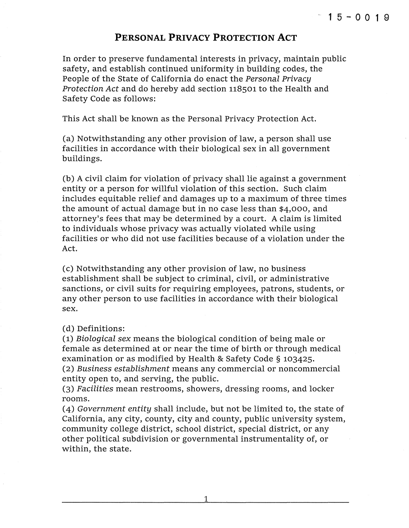## **PERSONAL PRIVACY PROTECTION ACT**

In order to preserve fundamental interests in privacy, maintain public safety, and establish continued uniformity in building codes, the People of the State of California do enact the Personal Privacy Protection Act and do hereby add section 118501 to the Health and Safety Code as follows:

This Act shall be known as the Personal Privacy Protection Act.

(a) Notwithstanding any other provision of law, a person shall use facilities in accordance with their biological sex in all government buildings.

(b) A civil claim for violation of privacy shall lie against a government entity or a person for willful violation of this section. Such claim includes equitable relief and damages up to a maximum of three times the amount of actual damage but in no case less than \$4,000, and attorney's fees that may be determined by a court. A claim is limited to individuals whose privacy was actually violated while using facilities or who did not use facilities because of a violation under the Act.

(c) Notwithstanding any other provision of law, no business establishment shall be subject to criminal, civil, or administrative sanctions, or civil suits for requiring employees, patrons, students, or any other person to use facilities in accordance with their biological sex.

(d) Definitions:

(1) Biological sex means the biological condition of being male or female as determined at or near the time of birth or through medical examination or as modified by Health & Safety Code § 103425.

(2) Business establishment means any commercial or noncommercial entity open to, and serving, the public.

(3) Facilities mean restrooms, showers, dressing rooms, and locker rooms.

(4) Government entity shall include, but not be limited to, the state of California, any city, county, city and county, public university system, community college district, school district, special district, or any other political subdivision or governmental instrumentality of, or within, the state.

1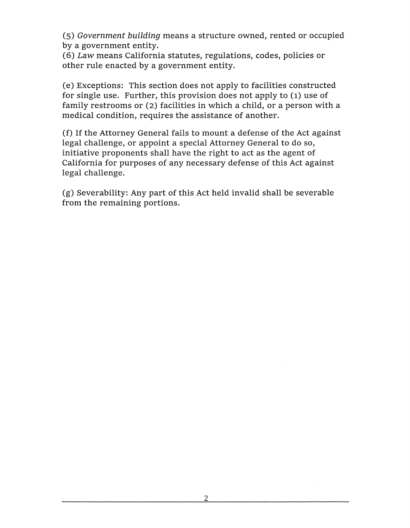(5) Government building means a structure owned, rented or occupied by a government entity.

(6) Law means California statutes, regulations, codes, policies or other rule enacted by a government entity.

(e) Exceptions: This section does not apply to facilities constructed for single use. Further, this provision does not apply to (1) use of family restrooms or (2) facilities in which a child, or a person with a medical condition, requires the assistance of another.

(f) If the Attorney General fails to mount a defense of the Act against legal challenge, or appoint a special Attorney General to do so, initiative proponents shall have the right to act as the agent of California for purposes of any necessary defense of this Act against legal challenge.

(g) Severability: Any part of this Act held invalid shall be severable from the remaining portions.